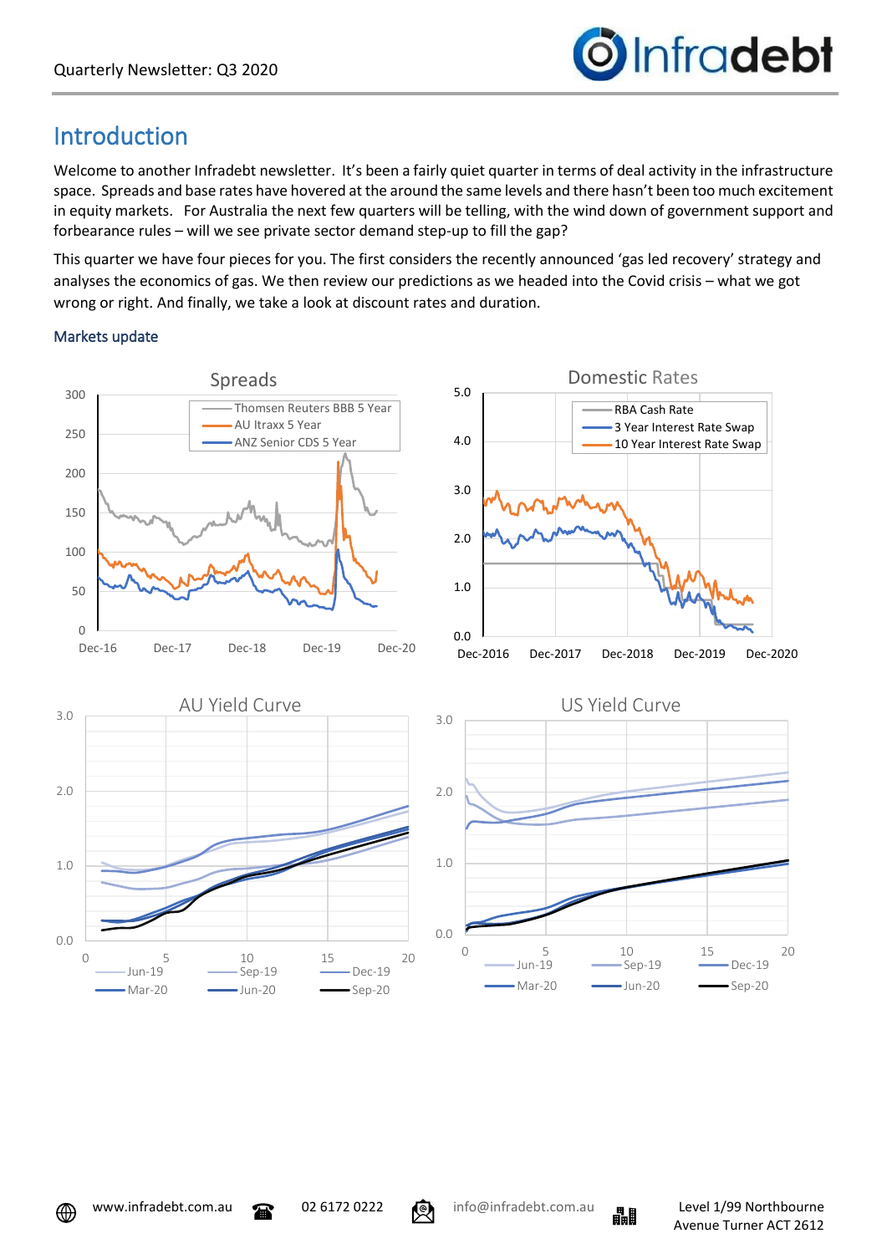

## Introduction

Welcome to another Infradebt newsletter. It's been a fairly quiet quarter in terms of deal activity in the infrastructure space. Spreads and base rates have hovered at the around the same levels and there hasn't been too much excitement in equity markets. For Australia the next few quarters will be telling, with the wind down of government support and forbearance rules – will we see private sector demand step-up to fill the gap?

This quarter we have four pieces for you. The first considers the recently announced 'gas led recovery' strategy and analyses the economics of gas. We then review our predictions as we headed into the Covid crisis – what we got wrong or right. And finally, we take a look at discount rates and duration.

### Markets update







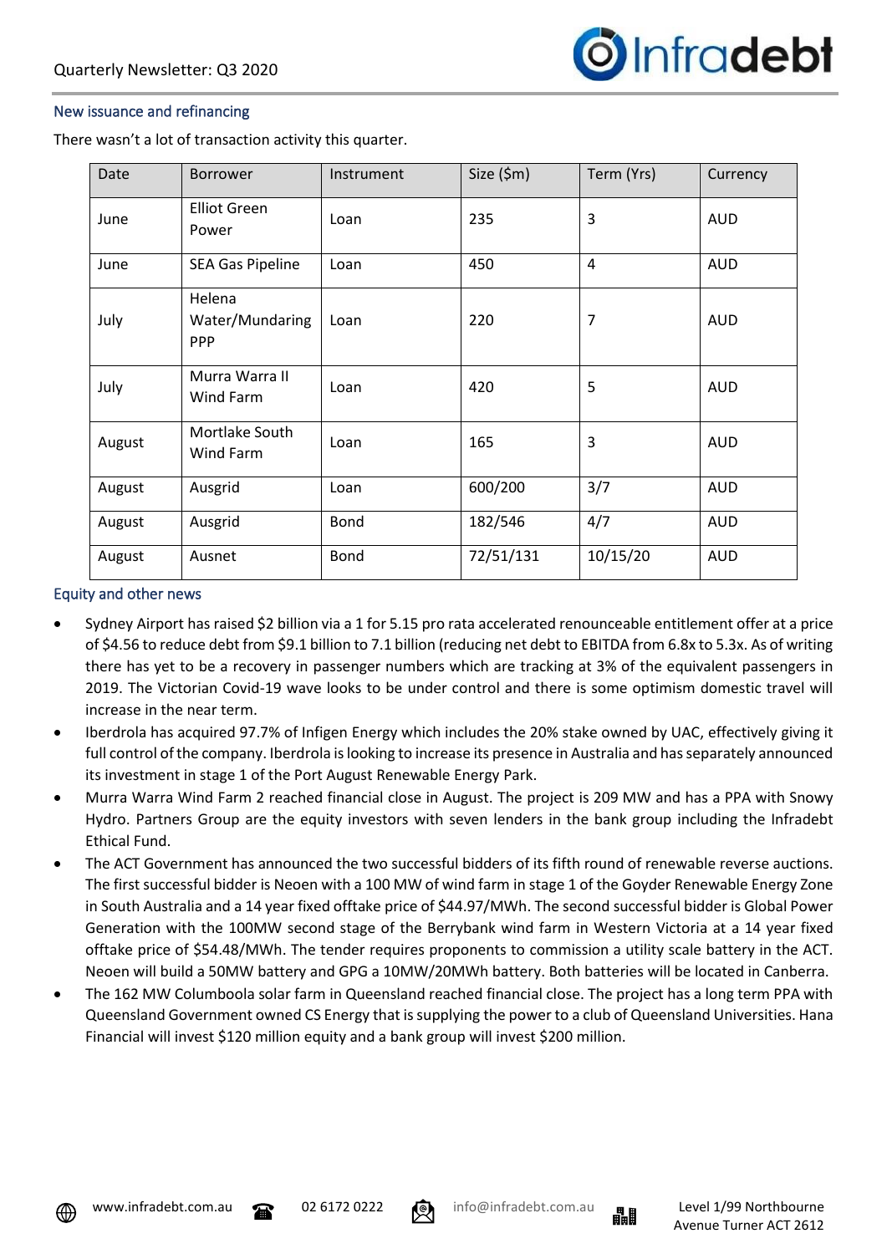

### New issuance and refinancing

There wasn't a lot of transaction activity this quarter.

| Date   | <b>Borrower</b>                         | Instrument  | Size $(\$m)$ | Term (Yrs) | Currency   |
|--------|-----------------------------------------|-------------|--------------|------------|------------|
| June   | <b>Elliot Green</b><br>Power            | Loan        | 235          | 3          | <b>AUD</b> |
| June   | <b>SEA Gas Pipeline</b>                 | Loan        | 450          | 4          | <b>AUD</b> |
| July   | Helena<br>Water/Mundaring<br><b>PPP</b> | Loan        | 220          | 7          | <b>AUD</b> |
| July   | Murra Warra II<br>Wind Farm             | Loan        | 420          | 5          | <b>AUD</b> |
| August | Mortlake South<br>Wind Farm             | Loan        | 165          | 3          | <b>AUD</b> |
| August | Ausgrid                                 | Loan        | 600/200      | 3/7        | <b>AUD</b> |
| August | Ausgrid                                 | <b>Bond</b> | 182/546      | 4/7        | <b>AUD</b> |
| August | Ausnet                                  | <b>Bond</b> | 72/51/131    | 10/15/20   | <b>AUD</b> |

#### Equity and other news

- Sydney Airport has raised \$2 billion via a 1 for 5.15 pro rata accelerated renounceable entitlement offer at a price of \$4.56 to reduce debt from \$9.1 billion to 7.1 billion (reducing net debt to EBITDA from 6.8x to 5.3x. As of writing there has yet to be a recovery in passenger numbers which are tracking at 3% of the equivalent passengers in 2019. The Victorian Covid-19 wave looks to be under control and there is some optimism domestic travel will increase in the near term.
- Iberdrola has acquired 97.7% of Infigen Energy which includes the 20% stake owned by UAC, effectively giving it full control of the company. Iberdrola is looking to increase its presence in Australia and has separately announced its investment in stage 1 of the Port August Renewable Energy Park.
- Murra Warra Wind Farm 2 reached financial close in August. The project is 209 MW and has a PPA with Snowy Hydro. Partners Group are the equity investors with seven lenders in the bank group including the Infradebt Ethical Fund.
- The ACT Government has announced the two successful bidders of its fifth round of renewable reverse auctions. The first successful bidder is Neoen with a 100 MW of wind farm in stage 1 of the Goyder Renewable Energy Zone in South Australia and a 14 year fixed offtake price of \$44.97/MWh. The second successful bidder is Global Power Generation with the 100MW second stage of the Berrybank wind farm in Western Victoria at a 14 year fixed offtake price of \$54.48/MWh. The tender requires proponents to commission a utility scale battery in the ACT. Neoen will build a 50MW battery and GPG a 10MW/20MWh battery. Both batteries will be located in Canberra.
- The 162 MW Columboola solar farm in Queensland reached financial close. The project has a long term PPA with Queensland Government owned CS Energy that is supplying the power to a club of Queensland Universities. Hana Financial will invest \$120 million equity and a bank group will invest \$200 million.



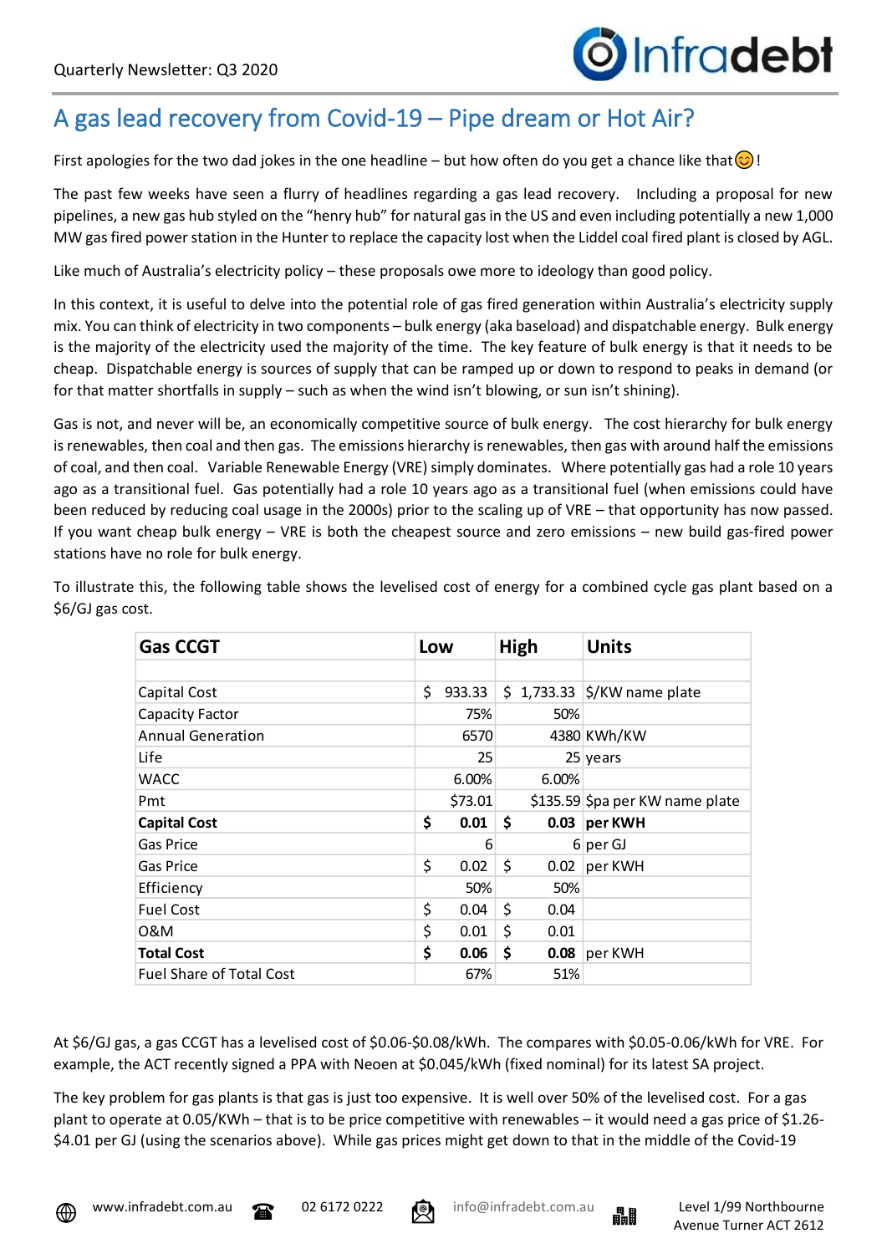# A gas lead recovery from Covid-19 – Pipe dream or Hot Air?

First apologies for the two dad jokes in the one headline – but how often do you get a chance like that  $\odot$ !

The past few weeks have seen a flurry of headlines regarding a gas lead recovery. Including a proposal for new pipelines, a new gas hub styled on the "henry hub" for natural gas in the US and even including potentially a new 1,000 MW gas fired power station in the Hunter to replace the capacity lost when the Liddel coal fired plant is closed by AGL.

Like much of Australia's electricity policy – these proposals owe more to ideology than good policy.

In this context, it is useful to delve into the potential role of gas fired generation within Australia's electricity supply mix. You can think of electricity in two components – bulk energy (aka baseload) and dispatchable energy. Bulk energy is the majority of the electricity used the majority of the time. The key feature of bulk energy is that it needs to be cheap. Dispatchable energy is sources of supply that can be ramped up or down to respond to peaks in demand (or for that matter shortfalls in supply – such as when the wind isn't blowing, or sun isn't shining).

Gas is not, and never will be, an economically competitive source of bulk energy. The cost hierarchy for bulk energy is renewables, then coal and then gas. The emissions hierarchy is renewables, then gas with around half the emissions of coal, and then coal. Variable Renewable Energy (VRE) simply dominates. Where potentially gas had a role 10 years ago as a transitional fuel. Gas potentially had a role 10 years ago as a transitional fuel (when emissions could have been reduced by reducing coal usage in the 2000s) prior to the scaling up of VRE – that opportunity has now passed. If you want cheap bulk energy – VRE is both the cheapest source and zero emissions – new build gas-fired power stations have no role for bulk energy.

| <b>Gas CCGT</b>                 | Low |         | High |       | <b>Units</b>                                        |
|---------------------------------|-----|---------|------|-------|-----------------------------------------------------|
| Capital Cost                    | \$  | 933.33  |      |       | $\frac{1}{2}$ 1,733.33 $\frac{1}{2}$ /KW name plate |
| <b>Capacity Factor</b>          |     | 75%     |      | 50%   |                                                     |
| <b>Annual Generation</b>        |     | 6570    |      |       | 4380 KWh/KW                                         |
| Life                            |     | 25      |      |       | $25$ years                                          |
| <b>WACC</b>                     |     | 6.00%   |      | 6.00% |                                                     |
| Pmt                             |     | \$73.01 |      |       | \$135.59 \$pa per KW name plate                     |
| <b>Capital Cost</b>             | \$  | 0.01    | Ŝ.   |       | 0.03 per KWH                                        |
| Gas Price                       |     | 6       |      |       | $6$ per GJ                                          |
| Gas Price                       | \$  | 0.02    | \$   |       | $0.02$ per KWH                                      |
| Efficiency                      |     | 50%     |      | 50%   |                                                     |
| <b>Fuel Cost</b>                | \$  | 0.04    | \$   | 0.04  |                                                     |
| 0&M                             | \$  | 0.01    | \$   | 0.01  |                                                     |
| <b>Total Cost</b>               | \$  | 0.06    | \$   |       | $0.08$ per KWH                                      |
| <b>Fuel Share of Total Cost</b> |     | 67%     |      | 51%   |                                                     |

To illustrate this, the following table shows the levelised cost of energy for a combined cycle gas plant based on a \$6/GJ gas cost.

At \$6/GJ gas, a gas CCGT has a levelised cost of \$0.06-\$0.08/kWh. The compares with \$0.05-0.06/kWh for VRE. For example, the ACT recently signed a PPA with Neoen at \$0.045/kWh (fixed nominal) for its latest SA project.

The key problem for gas plants is that gas is just too expensive. It is well over 50% of the levelised cost. For a gas plant to operate at 0.05/KWh – that is to be price competitive with renewables – it would need a gas price of \$1.26- \$4.01 per GJ (using the scenarios above). While gas prices might get down to that in the middle of the Covid-19



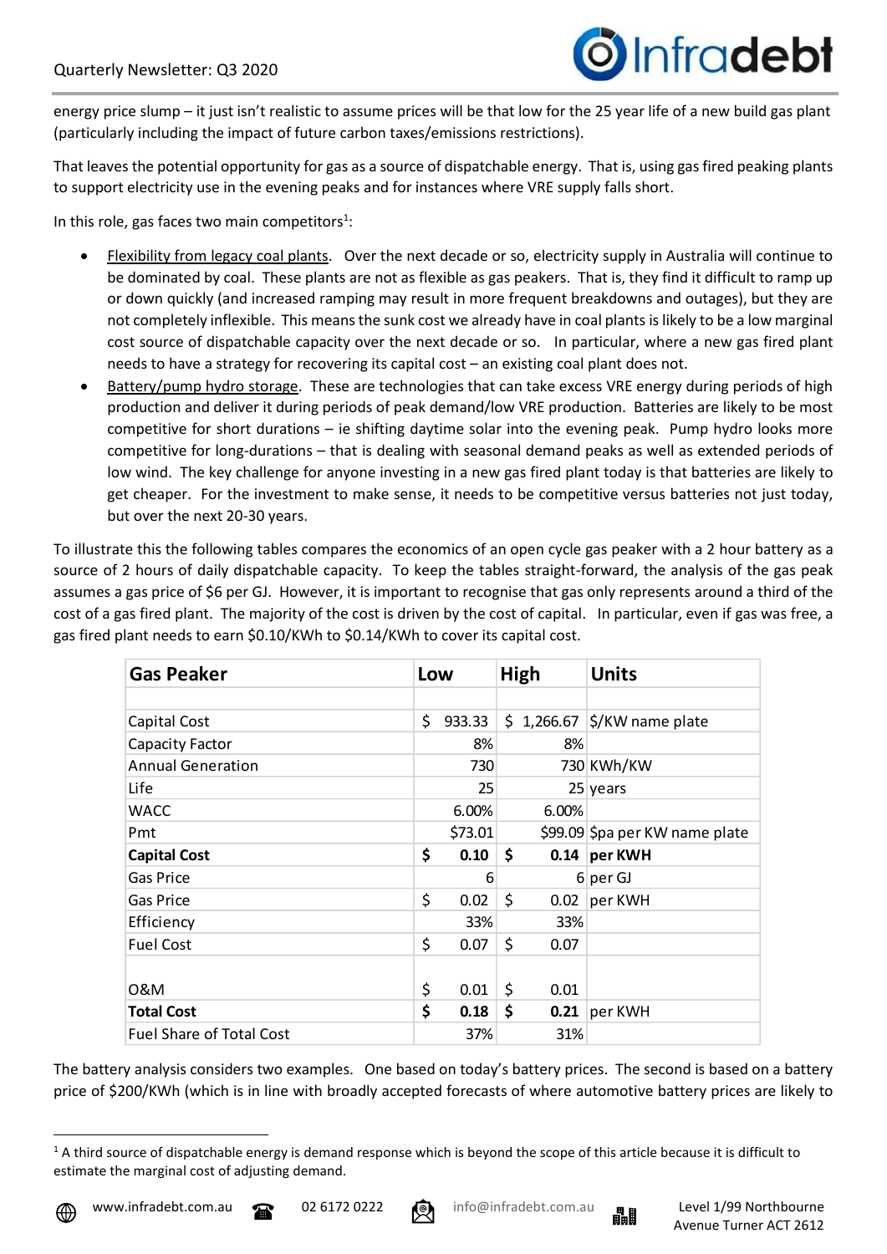

energy price slump – it just isn't realistic to assume prices will be that low for the 25 year life of a new build gas plant (particularly including the impact of future carbon taxes/emissions restrictions).

That leaves the potential opportunity for gas as a source of dispatchable energy. That is, using gas fired peaking plants to support electricity use in the evening peaks and for instances where VRE supply falls short.

In this role, gas faces two main competitors $1$ :

- Flexibility from legacy coal plants. Over the next decade or so, electricity supply in Australia will continue to be dominated by coal. These plants are not as flexible as gas peakers. That is, they find it difficult to ramp up or down quickly (and increased ramping may result in more frequent breakdowns and outages), but they are not completely inflexible. This means the sunk cost we already have in coal plants is likely to be a low marginal cost source of dispatchable capacity over the next decade or so. In particular, where a new gas fired plant needs to have a strategy for recovering its capital cost – an existing coal plant does not.
- Battery/pump hydro storage. These are technologies that can take excess VRE energy during periods of high production and deliver it during periods of peak demand/low VRE production. Batteries are likely to be most competitive for short durations – ie shifting daytime solar into the evening peak. Pump hydro looks more competitive for long-durations – that is dealing with seasonal demand peaks as well as extended periods of low wind. The key challenge for anyone investing in a new gas fired plant today is that batteries are likely to get cheaper. For the investment to make sense, it needs to be competitive versus batteries not just today, but over the next 20-30 years.

To illustrate this the following tables compares the economics of an open cycle gas peaker with a 2 hour battery as a source of 2 hours of daily dispatchable capacity. To keep the tables straight-forward, the analysis of the gas peak assumes a gas price of \$6 per GJ. However, it is important to recognise that gas only represents around a third of the cost of a gas fired plant. The majority of the cost is driven by the cost of capital. In particular, even if gas was free, a gas fired plant needs to earn \$0.10/KWh to \$0.14/KWh to cover its capital cost.

| <b>Gas Peaker</b>               | Low |         | High       | <b>Units</b>                                        |
|---------------------------------|-----|---------|------------|-----------------------------------------------------|
|                                 |     |         |            |                                                     |
| Capital Cost                    | \$  | 933.33  |            | $\frac{1}{2}$ 1,266.67 $\frac{1}{2}$ /KW name plate |
| Capacity Factor                 |     | 8%      | 8%         |                                                     |
| <b>Annual Generation</b>        |     | 730     |            | 730 KWh/KW                                          |
| Life                            |     | 25      |            | $25$ years                                          |
| <b>WACC</b>                     |     | 6.00%   | 6.00%      |                                                     |
| Pmt                             |     | \$73.01 |            | \$99.09 \$pa per KW name plate                      |
| <b>Capital Cost</b>             | \$  | 0.10    | \$         | 0.14 $per$ KWH                                      |
| Gas Price                       |     | 6       |            | 6 per GJ                                            |
| <b>Gas Price</b>                | \$  | 0.02    | \$<br>0.02 | per KWH                                             |
| Efficiency                      |     | 33%     | 33%        |                                                     |
| <b>Fuel Cost</b>                | \$  | 0.07    | \$<br>0.07 |                                                     |
|                                 |     |         |            |                                                     |
| 0&M                             | \$  | 0.01    | \$<br>0.01 |                                                     |
| <b>Total Cost</b>               | \$  | 0.18    | \$         | 0.21 $ per KWH$                                     |
| <b>Fuel Share of Total Cost</b> |     | 37%     | 31%        |                                                     |

The battery analysis considers two examples. One based on today's battery prices. The second is based on a battery price of \$200/KWh (which is in line with broadly accepted forecasts of where automotive battery prices are likely to





 $1$  A third source of dispatchable energy is demand response which is beyond the scope of this article because it is difficult to estimate the marginal cost of adjusting demand.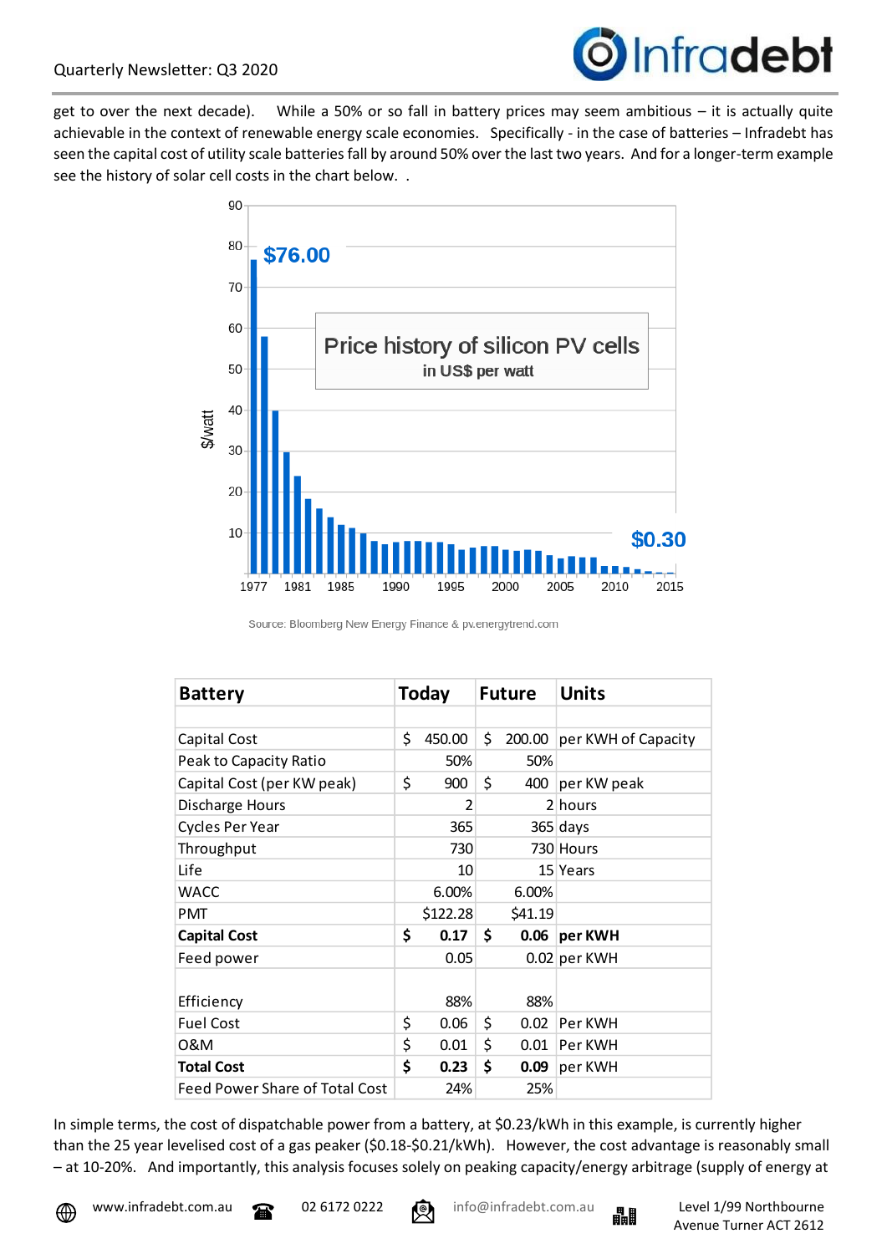

get to over the next decade). While a 50% or so fall in battery prices may seem ambitious – it is actually quite achievable in the context of renewable energy scale economies. Specifically - in the case of batteries – Infradebt has seen the capital cost of utility scale batteries fall by around 50% over the last two years. And for a longer-term example see the history of solar cell costs in the chart below. .



Source: Bloomberg New Energy Finance & pv.energytrend.com

| <b>Battery</b>                        | <b>Today</b>   | <b>Future</b> | <b>Units</b>        |
|---------------------------------------|----------------|---------------|---------------------|
|                                       |                |               |                     |
| Capital Cost                          | \$<br>450.00   | \$<br>200.00  | per KWH of Capacity |
| Peak to Capacity Ratio                | 50%            | 50%           |                     |
| Capital Cost (per KW peak)            | \$<br>900      | \$<br>400     | per KW peak         |
| Discharge Hours                       | $\overline{2}$ |               | 2 hours             |
| <b>Cycles Per Year</b>                | 365            |               | $365$ days          |
| Throughput                            | 730            |               | 730 Hours           |
| Life                                  | 10             |               | 15 Years            |
| <b>WACC</b>                           | 6.00%          | 6.00%         |                     |
| PMT                                   | \$122.28       | \$41.19       |                     |
| <b>Capital Cost</b>                   | \$<br>0.17     | \$<br>0.06    | per KWH             |
| Feed power                            | 0.05           |               | 0.02 per KWH        |
| Efficiency                            | 88%            | 88%           |                     |
| <b>Fuel Cost</b>                      | \$<br>0.06     | \$<br>0.02    | Per KWH             |
| 0&M                                   | \$<br>0.01     | \$<br>0.01    | Per KWH             |
| <b>Total Cost</b>                     | \$<br>0.23     | \$<br>0.09    | per KWH             |
| <b>Feed Power Share of Total Cost</b> | 24%            | 25%           |                     |

In simple terms, the cost of dispatchable power from a battery, at \$0.23/kWh in this example, is currently higher than the 25 year levelised cost of a gas peaker (\$0.18-\$0.21/kWh). However, the cost advantage is reasonably small – at 10-20%. And importantly, this analysis focuses solely on peaking capacity/energy arbitrage (supply of energy at



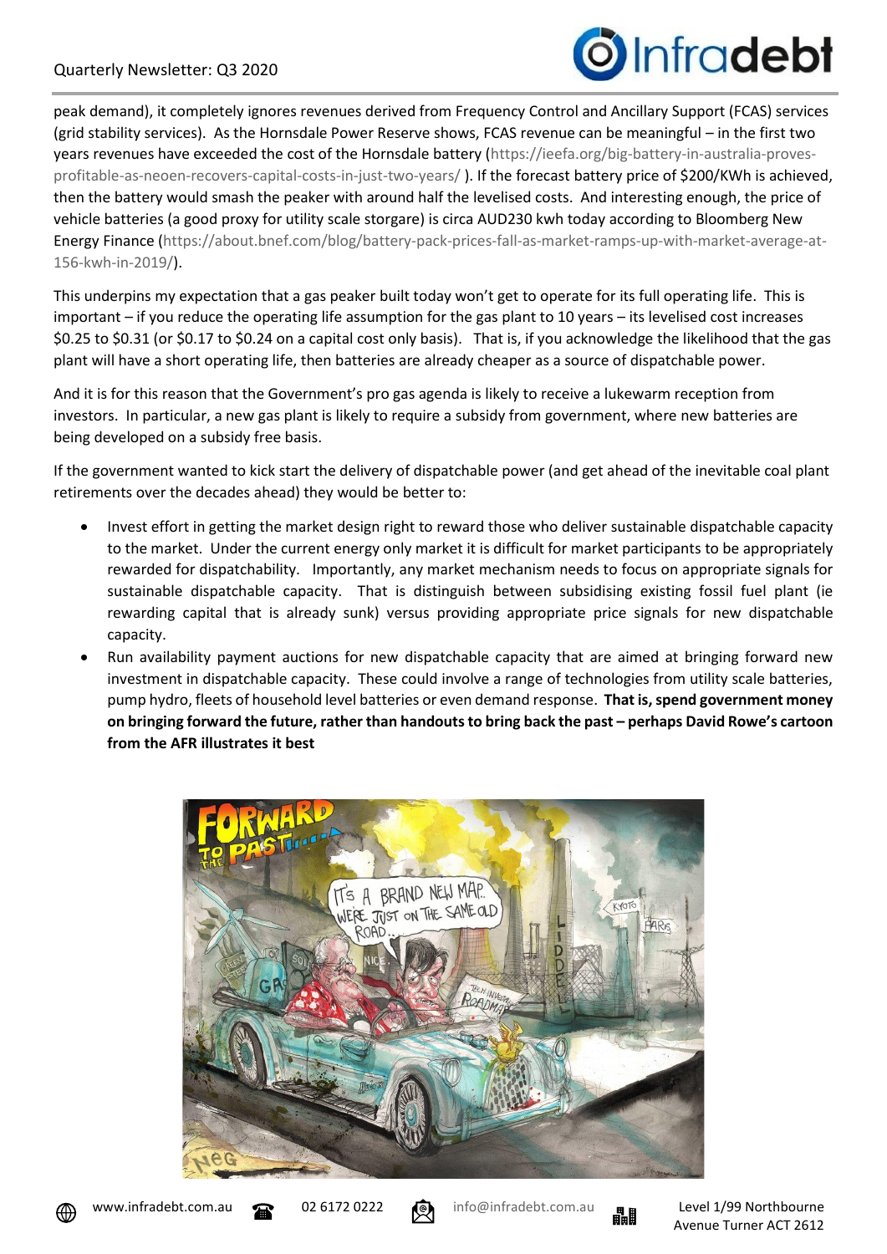

peak demand), it completely ignores revenues derived from Frequency Control and Ancillary Support (FCAS) services (grid stability services). As the Hornsdale Power Reserve shows, FCAS revenue can be meaningful – in the first two years revenues have exceeded the cost of the Hornsdale battery [\(https://ieefa.org/big-battery-in-australia-proves](https://ieefa.org/big-battery-in-australia-proves-profitable-as-neoen-recovers-capital-costs-in-just-two-years/)[profitable-as-neoen-recovers-capital-costs-in-just-two-years/](https://ieefa.org/big-battery-in-australia-proves-profitable-as-neoen-recovers-capital-costs-in-just-two-years/) ). If the forecast battery price of \$200/KWh is achieved, then the battery would smash the peaker with around half the levelised costs. And interesting enough, the price of vehicle batteries (a good proxy for utility scale storgare) is circa AUD230 kwh today according to Bloomberg New Energy Finance [\(https://about.bnef.com/blog/battery-pack-prices-fall-as-market-ramps-up-with-market-average-at-](https://about.bnef.com/blog/battery-pack-prices-fall-as-market-ramps-up-with-market-average-at-156-kwh-in-2019/)[156-kwh-in-2019/\)](https://about.bnef.com/blog/battery-pack-prices-fall-as-market-ramps-up-with-market-average-at-156-kwh-in-2019/).

This underpins my expectation that a gas peaker built today won't get to operate for its full operating life. This is important – if you reduce the operating life assumption for the gas plant to 10 years – its levelised cost increases \$0.25 to \$0.31 (or \$0.17 to \$0.24 on a capital cost only basis). That is, if you acknowledge the likelihood that the gas plant will have a short operating life, then batteries are already cheaper as a source of dispatchable power.

And it is for this reason that the Government's pro gas agenda is likely to receive a lukewarm reception from investors. In particular, a new gas plant is likely to require a subsidy from government, where new batteries are being developed on a subsidy free basis.

If the government wanted to kick start the delivery of dispatchable power (and get ahead of the inevitable coal plant retirements over the decades ahead) they would be better to:

- Invest effort in getting the market design right to reward those who deliver sustainable dispatchable capacity to the market. Under the current energy only market it is difficult for market participants to be appropriately rewarded for dispatchability. Importantly, any market mechanism needs to focus on appropriate signals for sustainable dispatchable capacity. That is distinguish between subsidising existing fossil fuel plant (ie rewarding capital that is already sunk) versus providing appropriate price signals for new dispatchable capacity.
- Run availability payment auctions for new dispatchable capacity that are aimed at bringing forward new investment in dispatchable capacity. These could involve a range of technologies from utility scale batteries, pump hydro, fleets of household level batteries or even demand response. **That is, spend government money on bringing forward the future, rather than handouts to bring back the past – perhaps David Rowe's cartoon from the AFR illustrates it best**





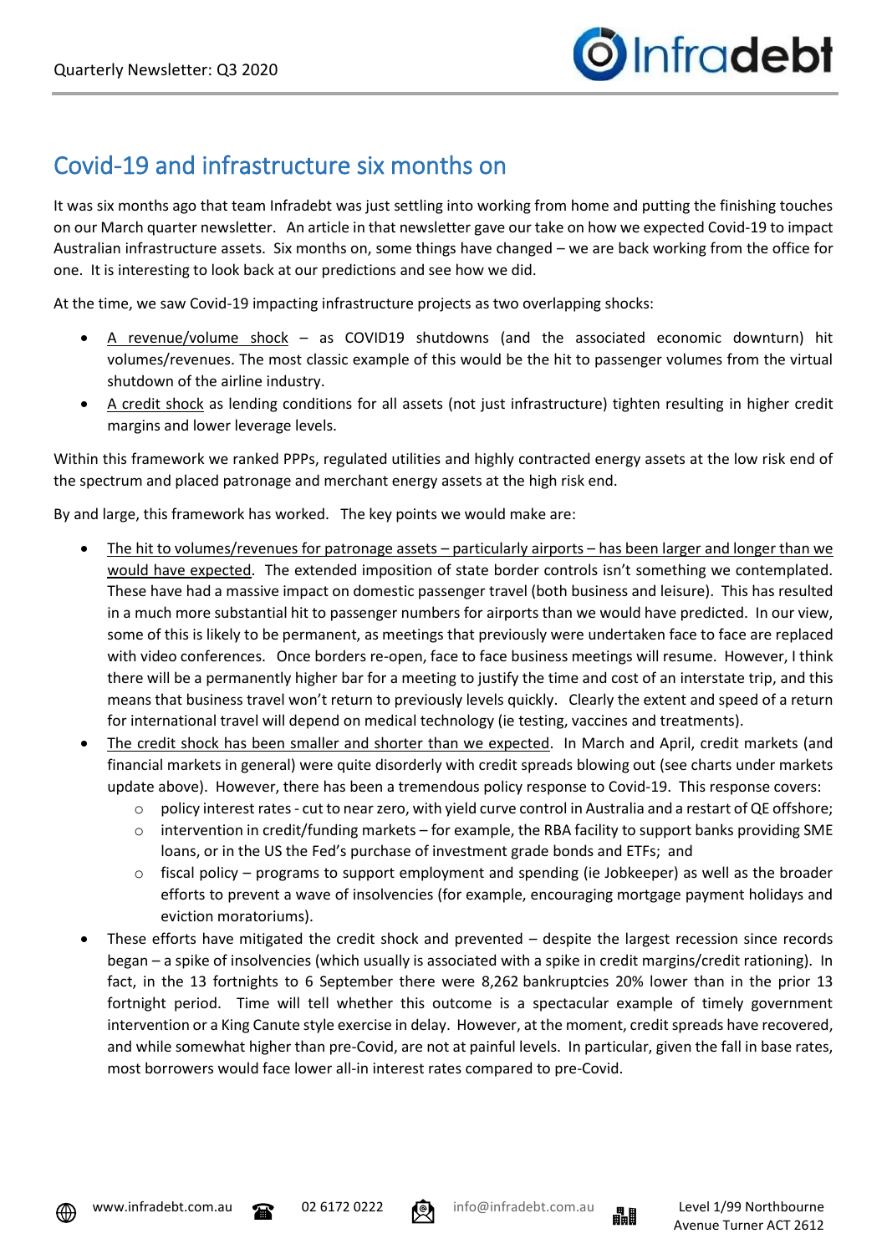## Covid-19 and infrastructure six months on

It was six months ago that team Infradebt was just settling into working from home and putting the finishing touches on our March quarter newsletter. An article in that newsletter gave our take on how we expected Covid-19 to impact Australian infrastructure assets. Six months on, some things have changed – we are back working from the office for one. It is interesting to look back at our predictions and see how we did.

At the time, we saw Covid-19 impacting infrastructure projects as two overlapping shocks:

- A revenue/volume shock as COVID19 shutdowns (and the associated economic downturn) hit volumes/revenues. The most classic example of this would be the hit to passenger volumes from the virtual shutdown of the airline industry.
- A credit shock as lending conditions for all assets (not just infrastructure) tighten resulting in higher credit margins and lower leverage levels.

Within this framework we ranked PPPs, regulated utilities and highly contracted energy assets at the low risk end of the spectrum and placed patronage and merchant energy assets at the high risk end.

By and large, this framework has worked. The key points we would make are:

- The hit to volumes/revenues for patronage assets particularly airports has been larger and longer than we would have expected. The extended imposition of state border controls isn't something we contemplated. These have had a massive impact on domestic passenger travel (both business and leisure). This has resulted in a much more substantial hit to passenger numbers for airports than we would have predicted. In our view, some of this is likely to be permanent, as meetings that previously were undertaken face to face are replaced with video conferences. Once borders re-open, face to face business meetings will resume. However, I think there will be a permanently higher bar for a meeting to justify the time and cost of an interstate trip, and this means that business travel won't return to previously levels quickly. Clearly the extent and speed of a return for international travel will depend on medical technology (ie testing, vaccines and treatments).
- The credit shock has been smaller and shorter than we expected. In March and April, credit markets (and financial markets in general) were quite disorderly with credit spreads blowing out (see charts under markets update above). However, there has been a tremendous policy response to Covid-19. This response covers:
	- o policy interest rates cut to near zero, with yield curve control in Australia and a restart of QE offshore;
	- $\circ$  intervention in credit/funding markets for example, the RBA facility to support banks providing SME loans, or in the US the Fed's purchase of investment grade bonds and ETFs; and
	- $\circ$  fiscal policy programs to support employment and spending (ie Jobkeeper) as well as the broader efforts to prevent a wave of insolvencies (for example, encouraging mortgage payment holidays and eviction moratoriums).
- These efforts have mitigated the credit shock and prevented despite the largest recession since records began – a spike of insolvencies (which usually is associated with a spike in credit margins/credit rationing). In fact, in the 13 fortnights to 6 September there were 8,262 bankruptcies 20% lower than in the prior 13 fortnight period. Time will tell whether this outcome is a spectacular example of timely government intervention or a King Canute style exercise in delay. However, at the moment, credit spreads have recovered, and while somewhat higher than pre-Covid, are not at painful levels. In particular, given the fall in base rates, most borrowers would face lower all-in interest rates compared to pre-Covid.







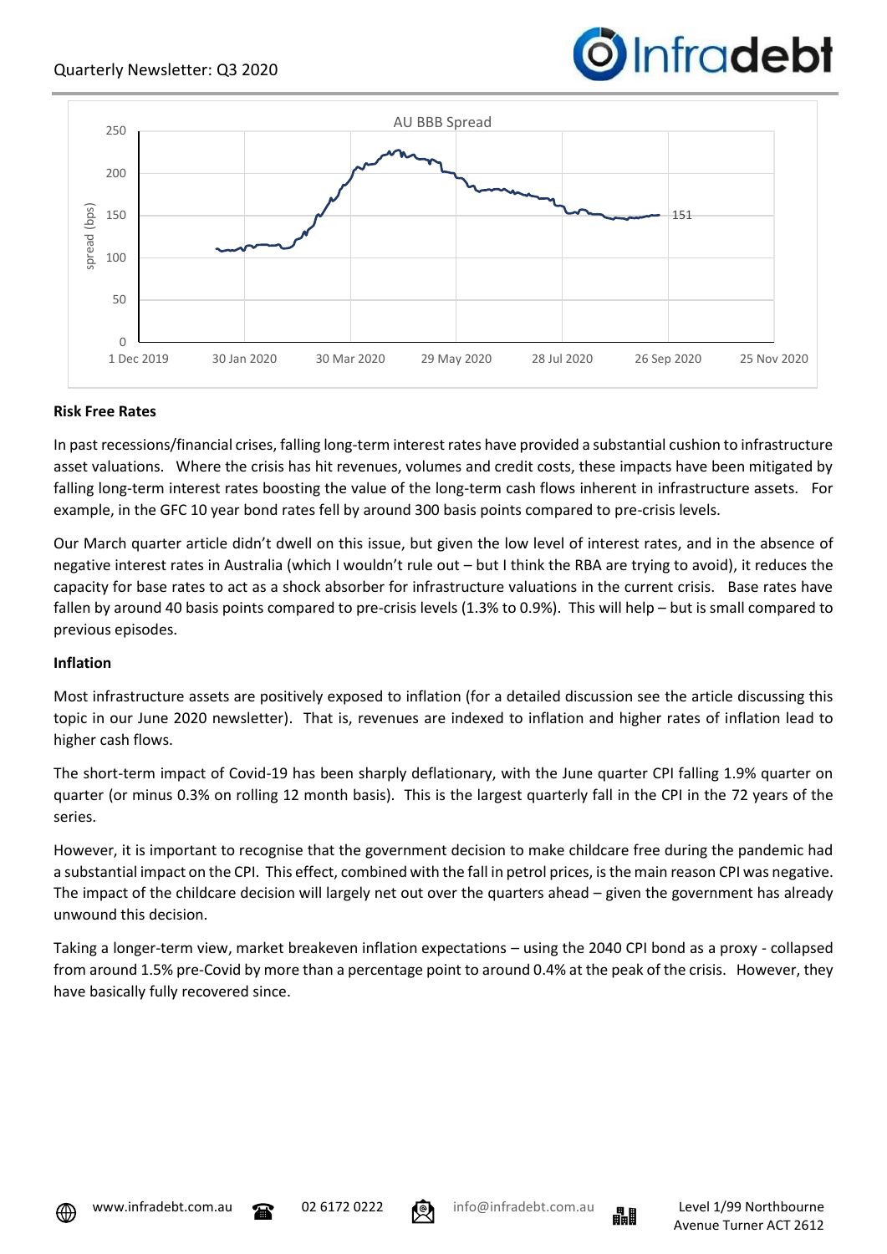



#### **Risk Free Rates**

In past recessions/financial crises, falling long-term interest rates have provided a substantial cushion to infrastructure asset valuations. Where the crisis has hit revenues, volumes and credit costs, these impacts have been mitigated by falling long-term interest rates boosting the value of the long-term cash flows inherent in infrastructure assets. For example, in the GFC 10 year bond rates fell by around 300 basis points compared to pre-crisis levels.

Our March quarter article didn't dwell on this issue, but given the low level of interest rates, and in the absence of negative interest rates in Australia (which I wouldn't rule out – but I think the RBA are trying to avoid), it reduces the capacity for base rates to act as a shock absorber for infrastructure valuations in the current crisis. Base rates have fallen by around 40 basis points compared to pre-crisis levels (1.3% to 0.9%). This will help – but is small compared to previous episodes.

#### **Inflation**

Most infrastructure assets are positively exposed to inflation (for a detailed discussion see the article discussing this topic in our June 2020 newsletter). That is, revenues are indexed to inflation and higher rates of inflation lead to higher cash flows.

The short-term impact of Covid-19 has been sharply deflationary, with the June quarter CPI falling 1.9% quarter on quarter (or minus 0.3% on rolling 12 month basis). This is the largest quarterly fall in the CPI in the 72 years of the series.

However, it is important to recognise that the government decision to make childcare free during the pandemic had a substantial impact on the CPI. This effect, combined with the fall in petrol prices, is the main reason CPI was negative. The impact of the childcare decision will largely net out over the quarters ahead – given the government has already unwound this decision.

Taking a longer-term view, market breakeven inflation expectations – using the 2040 CPI bond as a proxy - collapsed from around 1.5% pre-Covid by more than a percentage point to around 0.4% at the peak of the crisis. However, they have basically fully recovered since.





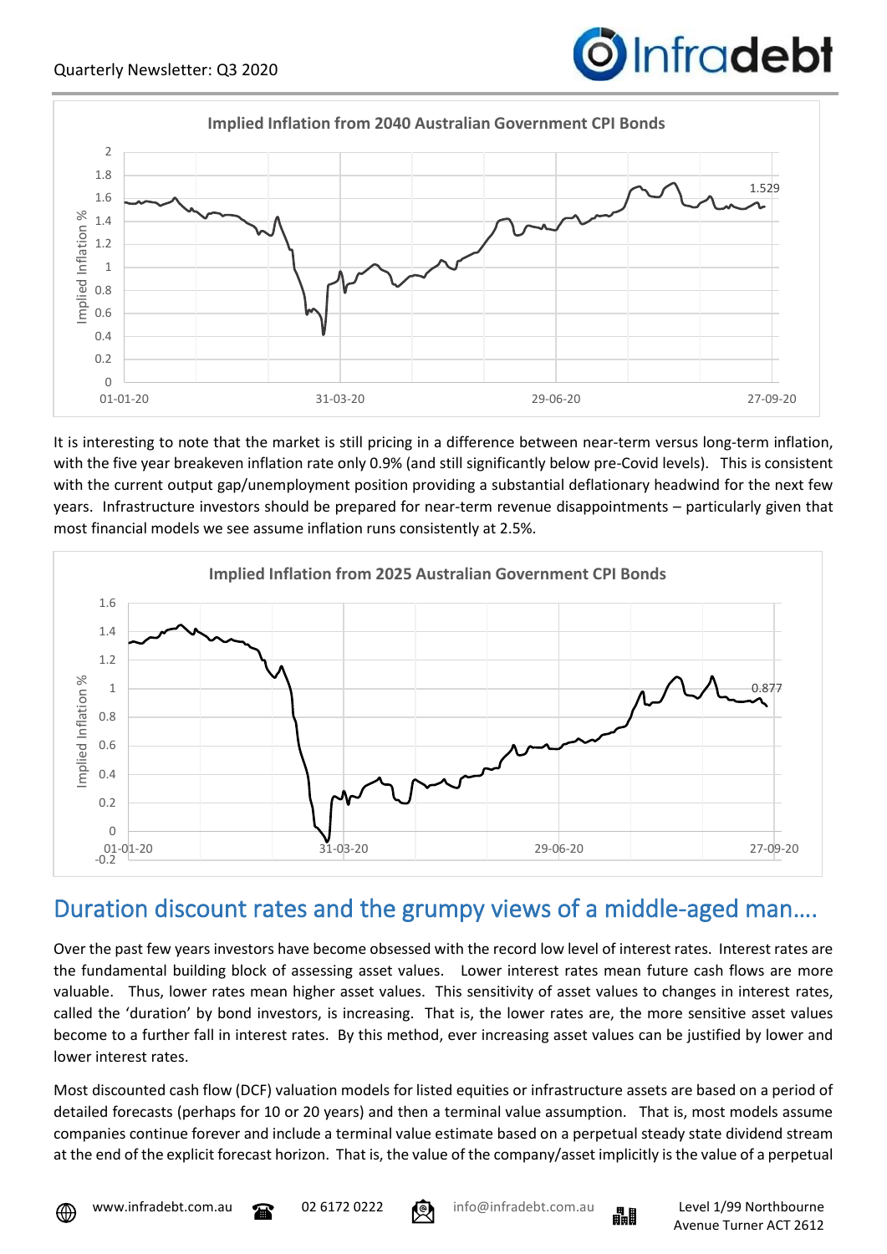



It is interesting to note that the market is still pricing in a difference between near-term versus long-term inflation, with the five year breakeven inflation rate only 0.9% (and still significantly below pre-Covid levels). This is consistent with the current output gap/unemployment position providing a substantial deflationary headwind for the next few years. Infrastructure investors should be prepared for near-term revenue disappointments – particularly given that most financial models we see assume inflation runs consistently at 2.5%.



### Duration discount rates and the grumpy views of a middle-aged man….

Over the past few years investors have become obsessed with the record low level of interest rates. Interest rates are the fundamental building block of assessing asset values. Lower interest rates mean future cash flows are more valuable. Thus, lower rates mean higher asset values. This sensitivity of asset values to changes in interest rates, called the 'duration' by bond investors, is increasing. That is, the lower rates are, the more sensitive asset values become to a further fall in interest rates. By this method, ever increasing asset values can be justified by lower and lower interest rates.

Most discounted cash flow (DCF) valuation models for listed equities or infrastructure assets are based on a period of detailed forecasts (perhaps for 10 or 20 years) and then a terminal value assumption. That is, most models assume companies continue forever and include a terminal value estimate based on a perpetual steady state dividend stream at the end of the explicit forecast horizon. That is, the value of the company/asset implicitly is the value of a perpetual



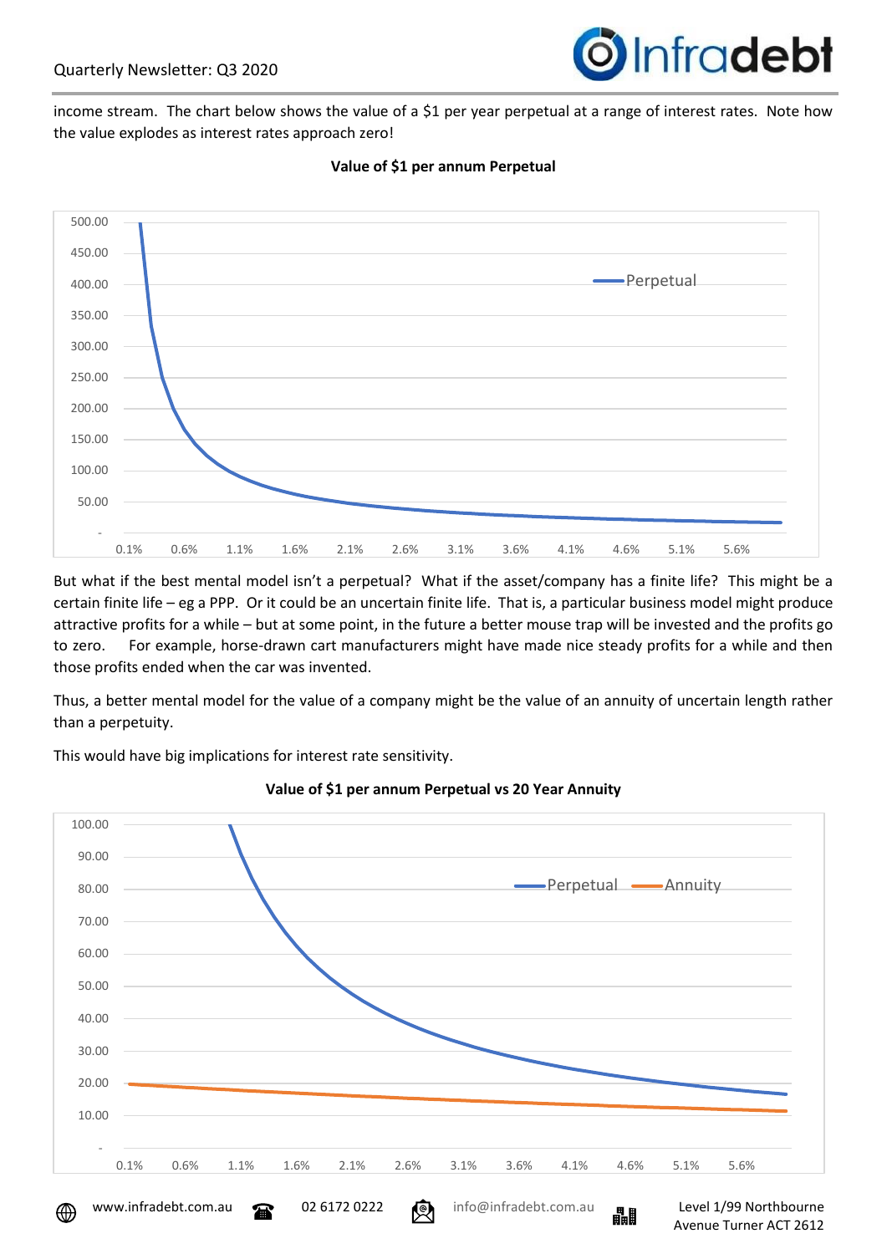

income stream. The chart below shows the value of a \$1 per year perpetual at a range of interest rates. Note how the value explodes as interest rates approach zero!



#### **Value of \$1 per annum Perpetual**

But what if the best mental model isn't a perpetual? What if the asset/company has a finite life? This might be a certain finite life – eg a PPP. Or it could be an uncertain finite life. That is, a particular business model might produce attractive profits for a while – but at some point, in the future a better mouse trap will be invested and the profits go to zero. For example, horse-drawn cart manufacturers might have made nice steady profits for a while and then those profits ended when the car was invented.

Thus, a better mental model for the value of a company might be the value of an annuity of uncertain length rather than a perpetuity.

This would have big implications for interest rate sensitivity.



**Value of \$1 per annum Perpetual vs 20 Year Annuity**

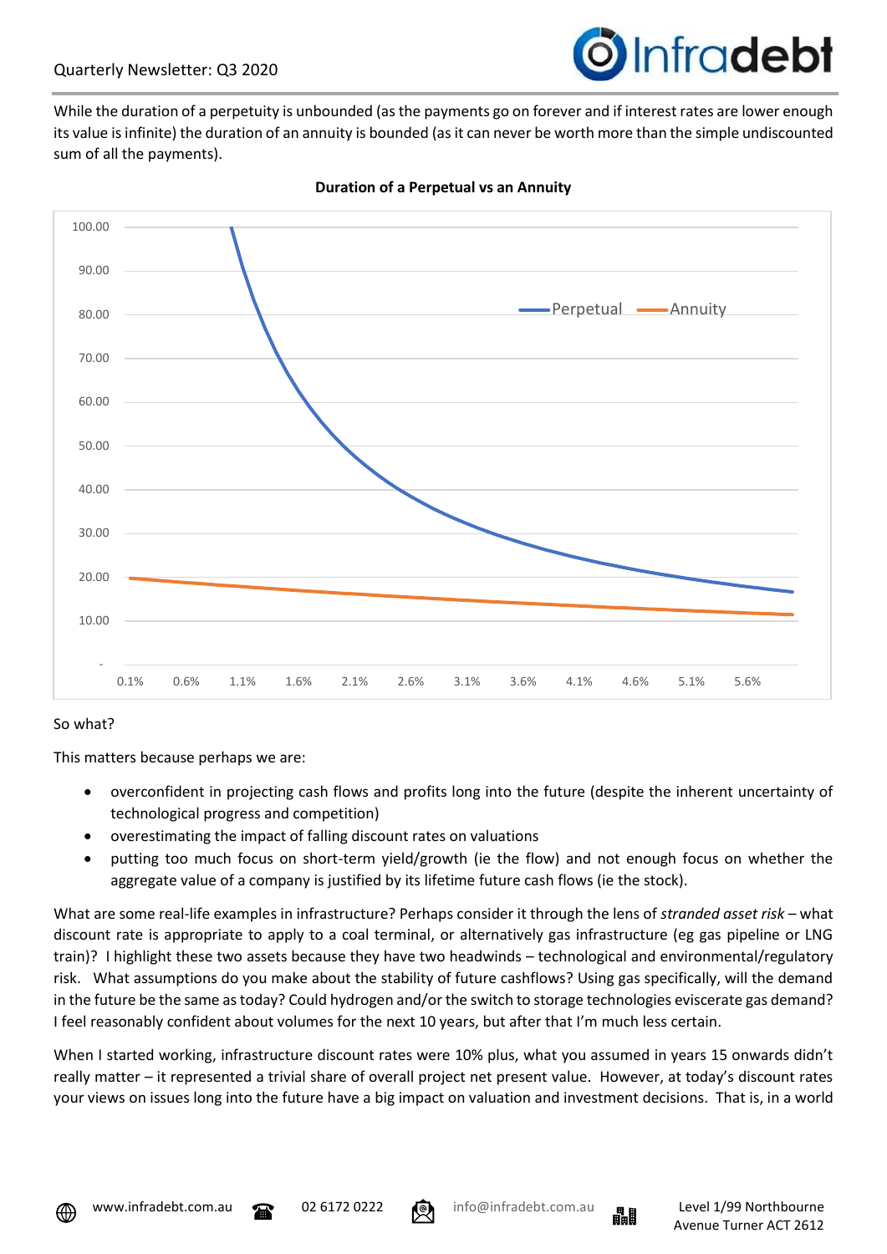

While the duration of a perpetuity is unbounded (as the payments go on forever and if interest rates are lower enough its value is infinite) the duration of an annuity is bounded (as it can never be worth more than the simple undiscounted sum of all the payments).



#### **Duration of a Perpetual vs an Annuity**

#### So what?

This matters because perhaps we are:

- overconfident in projecting cash flows and profits long into the future (despite the inherent uncertainty of technological progress and competition)
- overestimating the impact of falling discount rates on valuations
- putting too much focus on short-term yield/growth (ie the flow) and not enough focus on whether the aggregate value of a company is justified by its lifetime future cash flows (ie the stock).

What are some real-life examples in infrastructure? Perhaps consider it through the lens of *stranded asset risk* – what discount rate is appropriate to apply to a coal terminal, or alternatively gas infrastructure (eg gas pipeline or LNG train)? I highlight these two assets because they have two headwinds – technological and environmental/regulatory risk. What assumptions do you make about the stability of future cashflows? Using gas specifically, will the demand in the future be the same as today? Could hydrogen and/or the switch to storage technologies eviscerate gas demand? I feel reasonably confident about volumes for the next 10 years, but after that I'm much less certain.

When I started working, infrastructure discount rates were 10% plus, what you assumed in years 15 onwards didn't really matter – it represented a trivial share of overall project net present value. However, at today's discount rates your views on issues long into the future have a big impact on valuation and investment decisions. That is, in a world





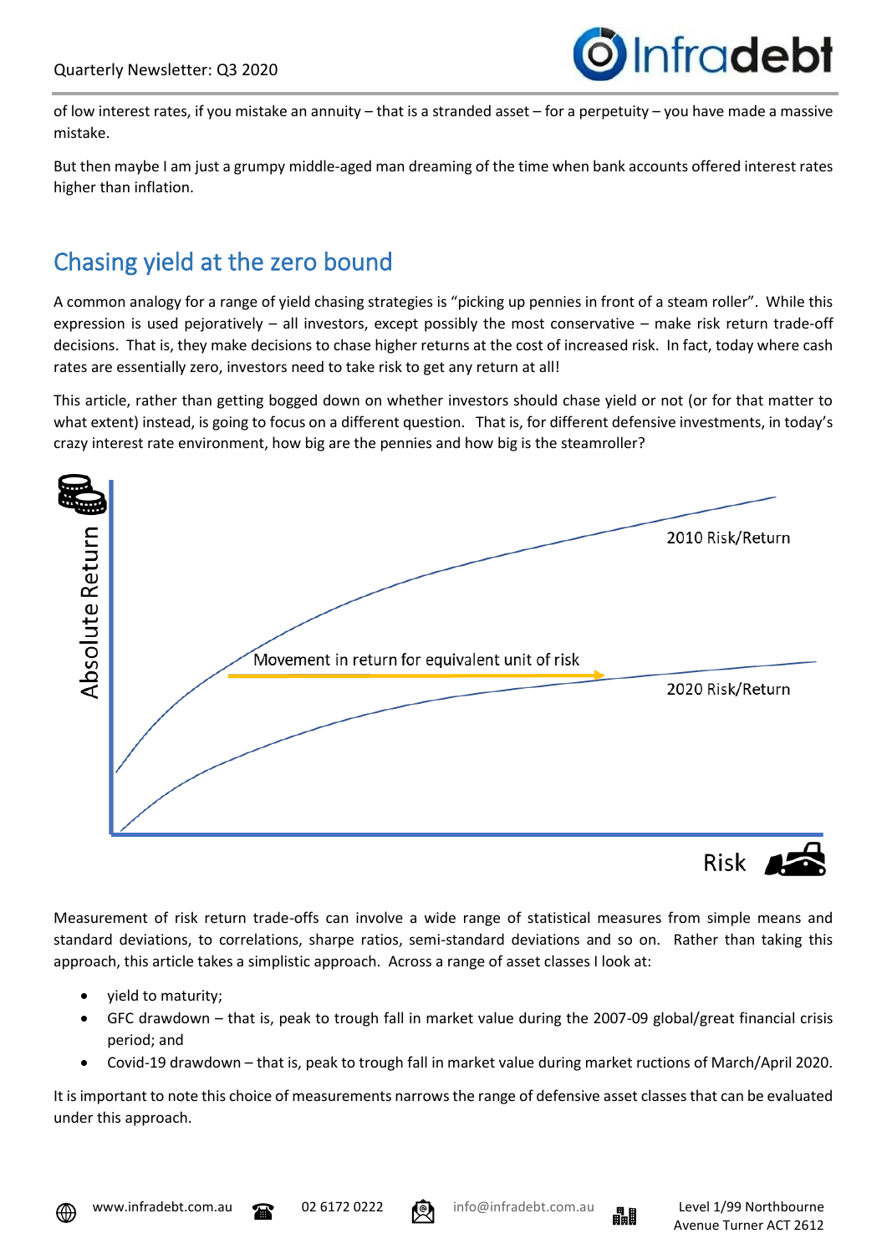

of low interest rates, if you mistake an annuity – that is a stranded asset – for a perpetuity – you have made a massive mistake.

But then maybe I am just a grumpy middle-aged man dreaming of the time when bank accounts offered interest rates higher than inflation.

## Chasing yield at the zero bound

A common analogy for a range of yield chasing strategies is "picking up pennies in front of a steam roller". While this expression is used pejoratively – all investors, except possibly the most conservative – make risk return trade-off decisions. That is, they make decisions to chase higher returns at the cost of increased risk. In fact, today where cash rates are essentially zero, investors need to take risk to get any return at all!

This article, rather than getting bogged down on whether investors should chase yield or not (or for that matter to what extent) instead, is going to focus on a different question. That is, for different defensive investments, in today's crazy interest rate environment, how big are the pennies and how big is the steamroller?



Measurement of risk return trade-offs can involve a wide range of statistical measures from simple means and standard deviations, to correlations, sharpe ratios, semi-standard deviations and so on. Rather than taking this approach, this article takes a simplistic approach. Across a range of asset classes I look at:

- yield to maturity;
- GFC drawdown that is, peak to trough fall in market value during the 2007-09 global/great financial crisis period; and
- Covid-19 drawdown that is, peak to trough fall in market value during market ructions of March/April 2020.

It is important to note this choice of measurements narrows the range of defensive asset classes that can be evaluated under this approach.



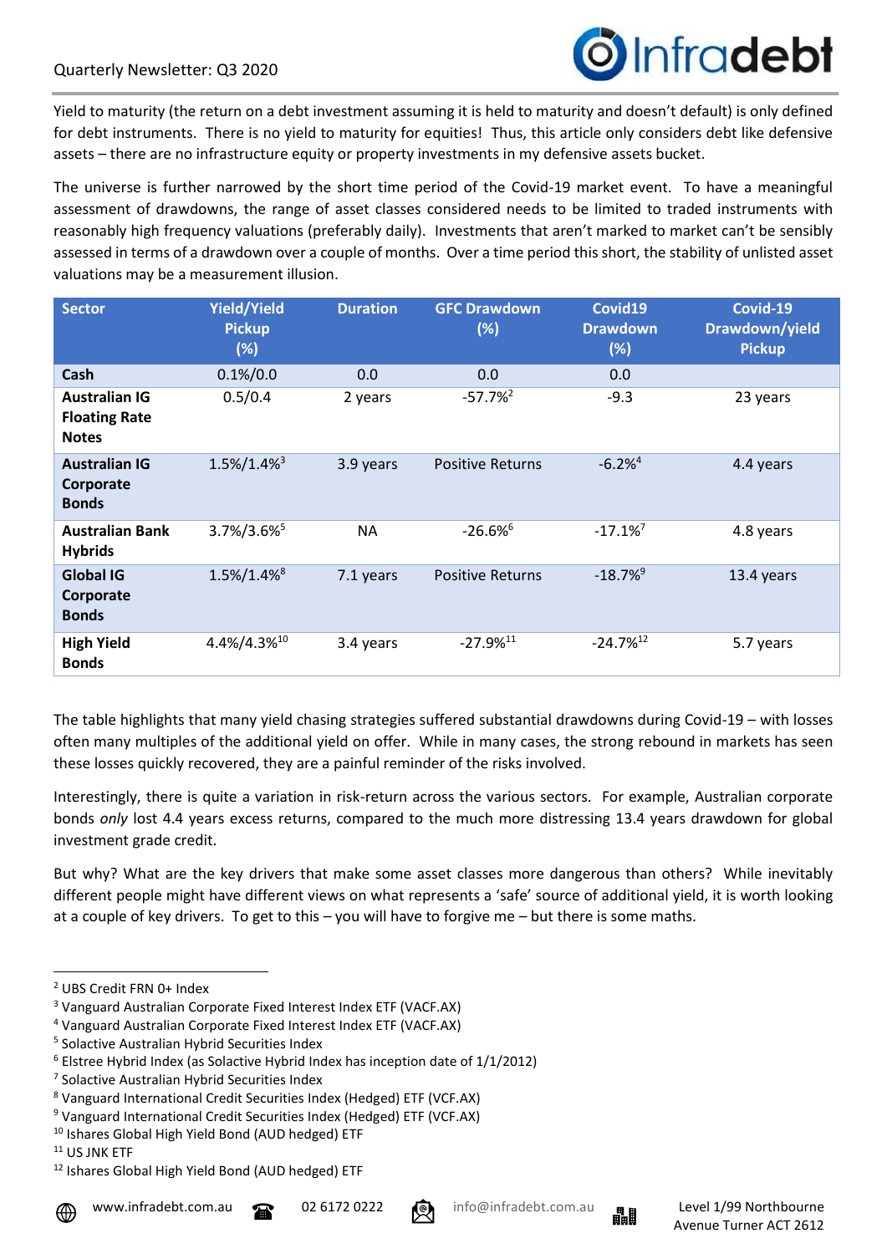

Yield to maturity (the return on a debt investment assuming it is held to maturity and doesn't default) is only defined for debt instruments. There is no yield to maturity for equities! Thus, this article only considers debt like defensive assets – there are no infrastructure equity or property investments in my defensive assets bucket.

The universe is further narrowed by the short time period of the Covid-19 market event. To have a meaningful assessment of drawdowns, the range of asset classes considered needs to be limited to traded instruments with reasonably high frequency valuations (preferably daily). Investments that aren't marked to market can't be sensibly assessed in terms of a drawdown over a couple of months. Over a time period this short, the stability of unlisted asset valuations may be a measurement illusion.

| <b>Sector</b>                                                | <b>Yield/Yield</b><br><b>Pickup</b><br>(%) | <b>Duration</b> | <b>GFC Drawdown</b><br>(%) | Covid19<br><b>Drawdown</b><br>(%) | Covid-19<br>Drawdown/yield<br><b>Pickup</b> |
|--------------------------------------------------------------|--------------------------------------------|-----------------|----------------------------|-----------------------------------|---------------------------------------------|
| Cash                                                         | $0.1\%/0.0$                                | 0.0             | 0.0                        | 0.0                               |                                             |
| <b>Australian IG</b><br><b>Floating Rate</b><br><b>Notes</b> | 0.5/0.4                                    | 2 years         | $-57.7%$ <sup>2</sup>      | $-9.3$                            | 23 years                                    |
| <b>Australian IG</b><br>Corporate<br><b>Bonds</b>            | $1.5\%/1.4\%^3$                            | 3.9 years       | <b>Positive Returns</b>    | $-6.2%4$                          | 4.4 years                                   |
| <b>Australian Bank</b><br><b>Hybrids</b>                     | $3.7\%/3.6\%^5$                            | <b>NA</b>       | $-26.6%$                   | $-17.1\%$ <sup>7</sup>            | 4.8 years                                   |
| <b>Global IG</b><br>Corporate<br><b>Bonds</b>                | $1.5\%/1.4\%^8$                            | 7.1 years       | <b>Positive Returns</b>    | $-18.7%^{9}$                      | 13.4 years                                  |
| <b>High Yield</b><br><b>Bonds</b>                            | 4.4%/4.3%10                                | 3.4 years       | $-27.9%$ <sup>11</sup>     | $-24.7\%$ <sup>12</sup>           | 5.7 years                                   |

The table highlights that many yield chasing strategies suffered substantial drawdowns during Covid-19 – with losses often many multiples of the additional yield on offer. While in many cases, the strong rebound in markets has seen these losses quickly recovered, they are a painful reminder of the risks involved.

Interestingly, there is quite a variation in risk-return across the various sectors. For example, Australian corporate bonds *only* lost 4.4 years excess returns, compared to the much more distressing 13.4 years drawdown for global investment grade credit.

But why? What are the key drivers that make some asset classes more dangerous than others? While inevitably different people might have different views on what represents a 'safe' source of additional yield, it is worth looking at a couple of key drivers. To get to this – you will have to forgive me – but there is some maths.





<sup>2</sup> UBS Credit FRN 0+ Index

<sup>3</sup> Vanguard Australian Corporate Fixed Interest Index ETF (VACF.AX)

<sup>4</sup> Vanguard Australian Corporate Fixed Interest Index ETF (VACF.AX)

<sup>5</sup> Solactive Australian Hybrid Securities Index

 $6$  Elstree Hybrid Index (as Solactive Hybrid Index has inception date of  $1/1/2012$ )

<sup>7</sup> Solactive Australian Hybrid Securities Index

<sup>8</sup> Vanguard International Credit Securities Index (Hedged) ETF (VCF.AX)

<sup>9</sup> Vanguard International Credit Securities Index (Hedged) ETF (VCF.AX)

<sup>10</sup> Ishares Global High Yield Bond (AUD hedged) ETF

<sup>11</sup> US JNK ETF

<sup>12</sup> Ishares Global High Yield Bond (AUD hedged) ETF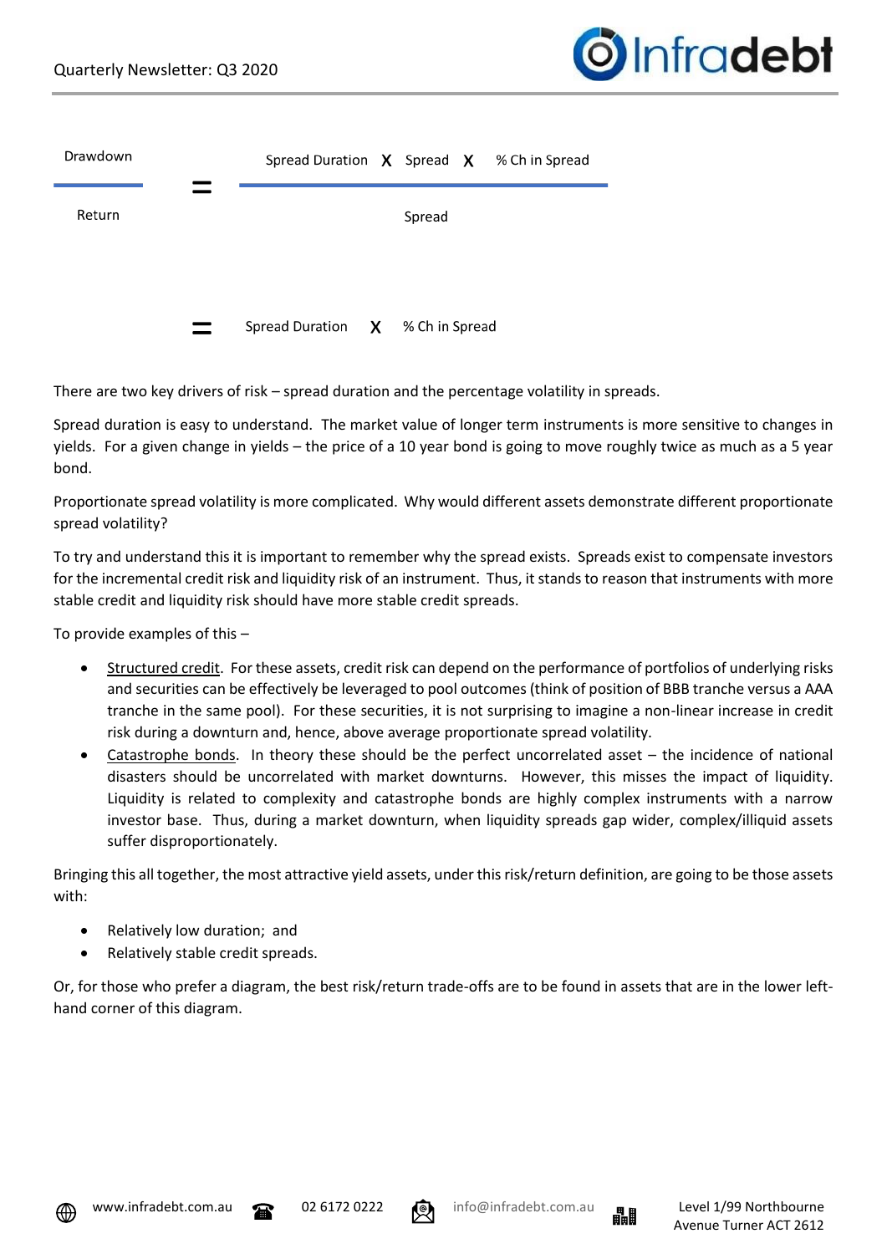

| Drawdown |                                    |        | Spread Duration $\chi$ Spread $\chi$ % Ch in Spread |
|----------|------------------------------------|--------|-----------------------------------------------------|
| Return   |                                    | Spread |                                                     |
|          |                                    |        |                                                     |
|          | Spread Duration $X$ % Ch in Spread |        |                                                     |

There are two key drivers of risk – spread duration and the percentage volatility in spreads.

Spread duration is easy to understand. The market value of longer term instruments is more sensitive to changes in yields. For a given change in yields – the price of a 10 year bond is going to move roughly twice as much as a 5 year bond.

Proportionate spread volatility is more complicated. Why would different assets demonstrate different proportionate spread volatility?

To try and understand this it is important to remember why the spread exists. Spreads exist to compensate investors for the incremental credit risk and liquidity risk of an instrument. Thus, it stands to reason that instruments with more stable credit and liquidity risk should have more stable credit spreads.

To provide examples of this –

- Structured credit. For these assets, credit risk can depend on the performance of portfolios of underlying risks and securities can be effectively be leveraged to pool outcomes (think of position of BBB tranche versus a AAA tranche in the same pool). For these securities, it is not surprising to imagine a non-linear increase in credit risk during a downturn and, hence, above average proportionate spread volatility.
- Catastrophe bonds. In theory these should be the perfect uncorrelated asset the incidence of national disasters should be uncorrelated with market downturns. However, this misses the impact of liquidity. Liquidity is related to complexity and catastrophe bonds are highly complex instruments with a narrow investor base. Thus, during a market downturn, when liquidity spreads gap wider, complex/illiquid assets suffer disproportionately.

Bringing this all together, the most attractive yield assets, under this risk/return definition, are going to be those assets with:

- Relatively low duration; and
- Relatively stable credit spreads.

Or, for those who prefer a diagram, the best risk/return trade-offs are to be found in assets that are in the lower lefthand corner of this diagram.